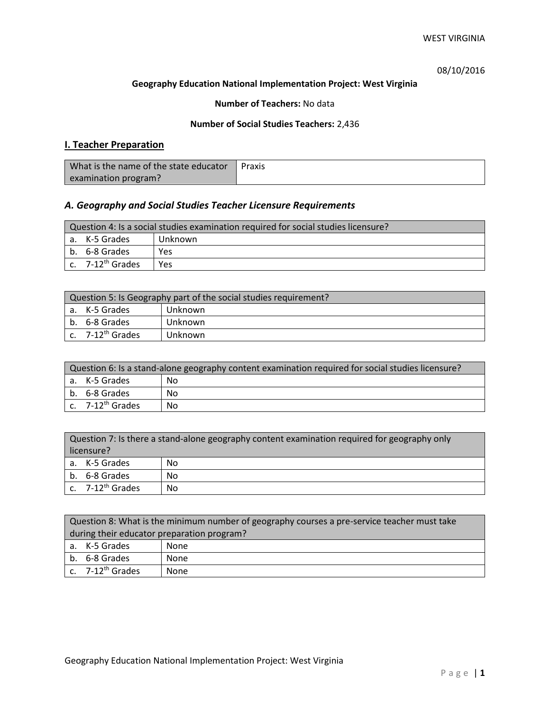08/10/2016

### **Geography Education National Implementation Project: West Virginia**

# **Number of Teachers:** No data

# **Number of Social Studies Teachers:** 2,436

# **I. Teacher Preparation**

| What is the name of the state educator | Praxis |
|----------------------------------------|--------|
| examination program?                   |        |

# *A. Geography and Social Studies Teacher Licensure Requirements*

| Question 4: Is a social studies examination required for social studies licensure? |                              |         |  |
|------------------------------------------------------------------------------------|------------------------------|---------|--|
|                                                                                    | a. K-5 Grades                | Unknown |  |
|                                                                                    | b. 6-8 Grades                | Yes     |  |
|                                                                                    | c. 7-12 <sup>th</sup> Grades | Yes     |  |

| Question 5: Is Geography part of the social studies requirement? |                       |         |
|------------------------------------------------------------------|-----------------------|---------|
|                                                                  | a. K-5 Grades         | Unknown |
|                                                                  | b. 6-8 Grades         | Unknown |
|                                                                  | c. $7-12^{th}$ Grades | Unknown |

| Question 6: Is a stand-alone geography content examination required for social studies licensure? |    |  |
|---------------------------------------------------------------------------------------------------|----|--|
| a. K-5 Grades                                                                                     | No |  |
| b. 6-8 Grades                                                                                     | No |  |
| c. $7-12^{th}$ Grades                                                                             | No |  |

| Question 7: Is there a stand-alone geography content examination required for geography only<br>licensure? |    |  |
|------------------------------------------------------------------------------------------------------------|----|--|
| a. K-5 Grades                                                                                              | No |  |
| b. 6-8 Grades                                                                                              | No |  |
| c. 7-12 <sup>th</sup> Grades                                                                               | No |  |

|                                            | Question 8: What is the minimum number of geography courses a pre-service teacher must take |      |  |
|--------------------------------------------|---------------------------------------------------------------------------------------------|------|--|
| during their educator preparation program? |                                                                                             |      |  |
|                                            | a. K-5 Grades                                                                               | None |  |
|                                            | b. 6-8 Grades                                                                               | None |  |
|                                            | $c.$ 7-12 <sup>th</sup> Grades                                                              | None |  |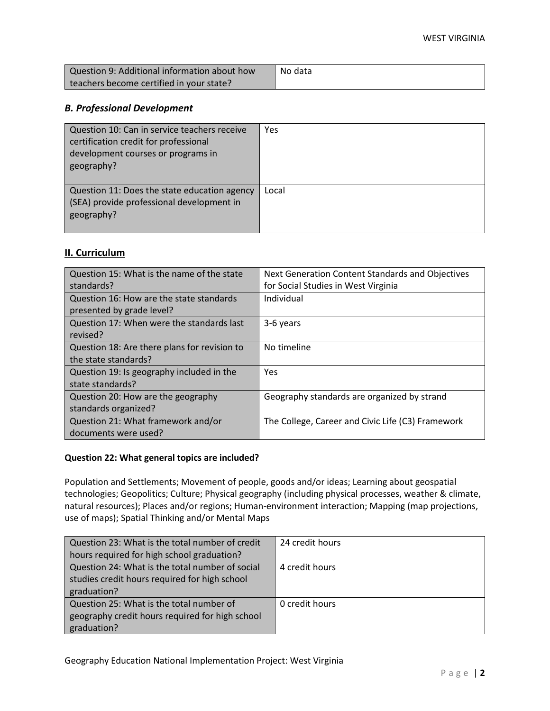| Question 9: Additional information about how | No data |
|----------------------------------------------|---------|
| teachers become certified in your state?     |         |

# *B. Professional Development*

| Question 10: Can in service teachers receive<br>certification credit for professional<br>development courses or programs in<br>geography? | Yes   |
|-------------------------------------------------------------------------------------------------------------------------------------------|-------|
| Question 11: Does the state education agency<br>(SEA) provide professional development in<br>geography?                                   | Local |

# **II. Curriculum**

| Question 15: What is the name of the state   | Next Generation Content Standards and Objectives  |
|----------------------------------------------|---------------------------------------------------|
| standards?                                   | for Social Studies in West Virginia               |
| Question 16: How are the state standards     | Individual                                        |
| presented by grade level?                    |                                                   |
| Question 17: When were the standards last    | 3-6 years                                         |
| revised?                                     |                                                   |
| Question 18: Are there plans for revision to | No timeline                                       |
| the state standards?                         |                                                   |
| Question 19: Is geography included in the    | <b>Yes</b>                                        |
| state standards?                             |                                                   |
| Question 20: How are the geography           | Geography standards are organized by strand       |
| standards organized?                         |                                                   |
| Question 21: What framework and/or           | The College, Career and Civic Life (C3) Framework |
| documents were used?                         |                                                   |

## **Question 22: What general topics are included?**

Population and Settlements; Movement of people, goods and/or ideas; Learning about geospatial technologies; Geopolitics; Culture; Physical geography (including physical processes, weather & climate, natural resources); Places and/or regions; Human-environment interaction; Mapping (map projections, use of maps); Spatial Thinking and/or Mental Maps

| Question 23: What is the total number of credit | 24 credit hours |
|-------------------------------------------------|-----------------|
| hours required for high school graduation?      |                 |
| Question 24: What is the total number of social | 4 credit hours  |
| studies credit hours required for high school   |                 |
| graduation?                                     |                 |
| Question 25: What is the total number of        | 0 credit hours  |
| geography credit hours required for high school |                 |
| graduation?                                     |                 |